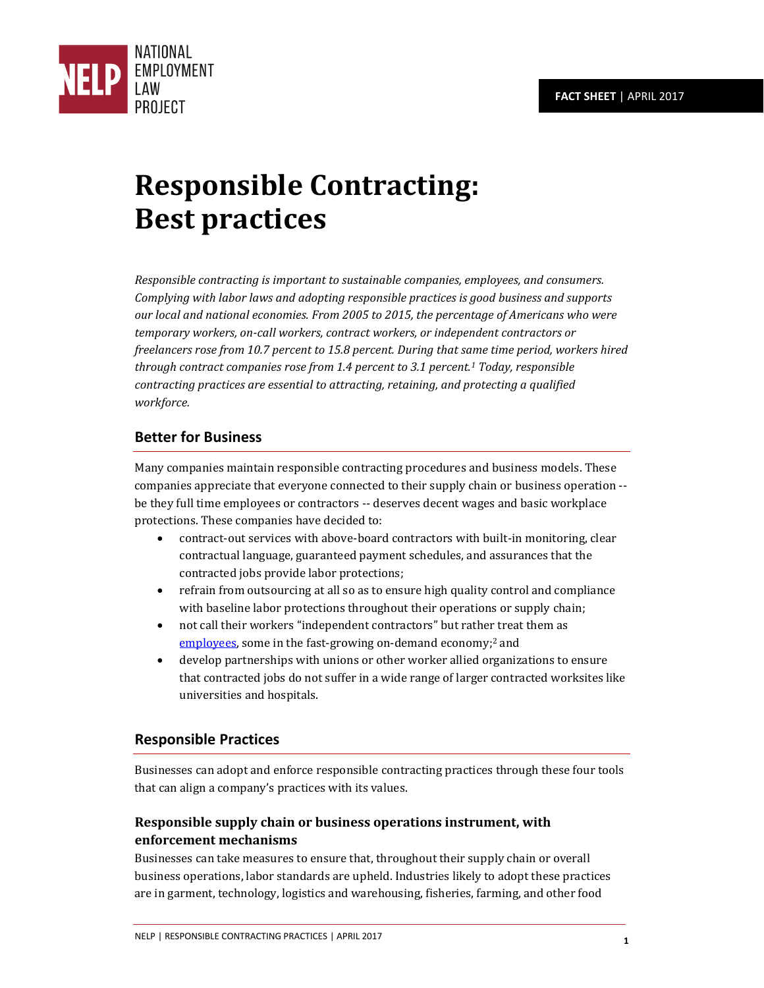

# **Responsible Contracting: Best practices**

*Responsible contracting is important to sustainable companies, employees, and consumers. Complying with labor laws and adopting responsible practices is good business and supports our local and national economies. From 2005 to 2015, the percentage of Americans who were temporary workers, on-call workers, contract workers, or independent contractors or freelancers rose from 10.7 percent to 15.8 percent. During that same time period, workers hired through contract companies rose from 1.4 percent to 3.1 percent.<sup>1</sup> Today, responsible contracting practices are essential to attracting, retaining, and protecting a qualified workforce.* 

## **Better for Business**

Many companies maintain responsible contracting procedures and business models. These companies appreciate that everyone connected to their supply chain or business operation - be they full time employees or contractors -- deserves decent wages and basic workplace protections. These companies have decided to:

- contract-out services with above-board contractors with built-in monitoring, clear contractual language, guaranteed payment schedules, and assurances that the contracted jobs provide labor protections;
- refrain from outsourcing at all so as to ensure high quality control and compliance with baseline labor protections throughout their operations or supply chain;
- not call their workers "independent contractors" but rather treat them a[s](http://www.nelp.org/publication/independent-contractor-vs-employee/) [employees,](http://www.nelp.org/publication/independent-contractor-vs-employee/) some in the fast-growing on-demand economy;<sup>2</sup> and
- develop partnerships with unions or other worker allied organizations to ensure that contracted jobs do not suffer in a wide range of larger contracted worksites like universities and hospitals.

## **Responsible Practices**

Businesses can adopt and enforce responsible contracting practices through these four tools that can align a company's practices with its values.

## **Responsible supply chain or business operations instrument, with enforcement mechanisms**

Businesses can take measures to ensure that, throughout their supply chain or overall business operations, labor standards are upheld. Industries likely to adopt these practices are in garment, technology, logistics and warehousing, fisheries, farming, and other food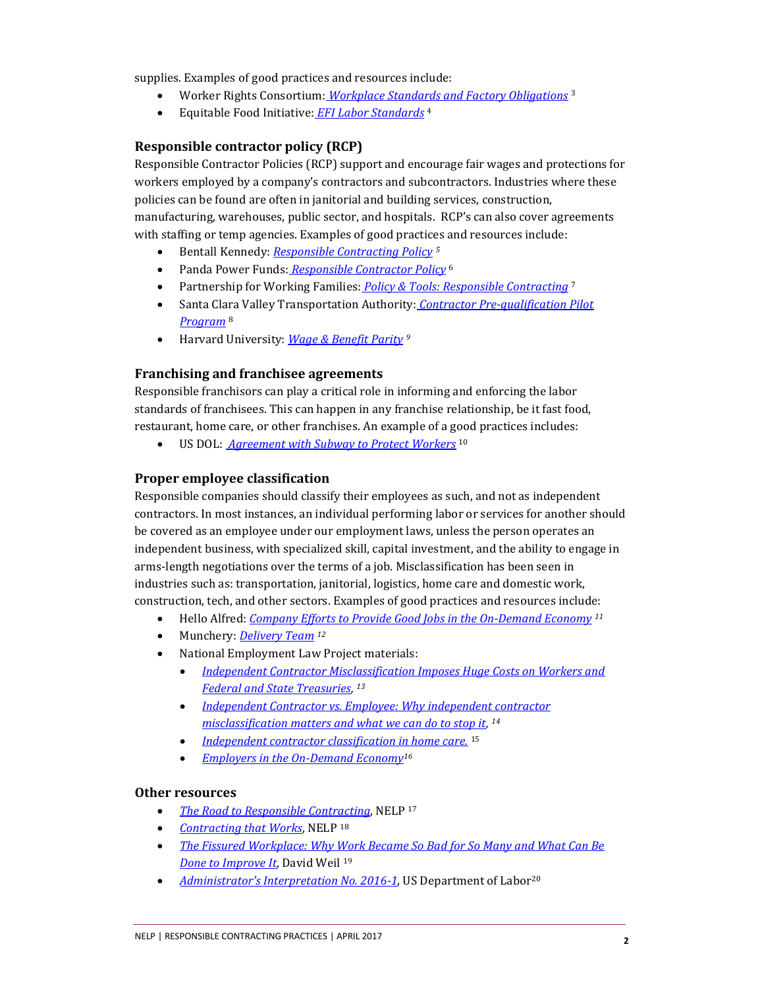supplies. Examples of good practices and resources include:

- Worker Rights Consortium: *[Workplace Standards and Factory Obligations](http://www.workersrights.org/dsp/DSP%20Program%20Description,%202012.pdf)* <sup>3</sup>
- Equitable Food Initiative: *[EFI Labor Standards](http://www.equitablefood.org/about)* <sup>4</sup>

#### **Responsible contractor policy (RCP)**

Responsible Contractor Policies (RCP) support and encourage fair wages and protections for workers employed by a company's contractors and subcontractors. Industries where these policies can be found are often in janitorial and building services, construction, manufacturing, warehouses, public sector, and hospitals. RCP's can also cover agreements with staffing or temp agencies. Examples of good practices and resources include:

- Bentall Kennedy: *[Responsible Contracting Policy](http://cr.bentallkennedy.com/Assets/Documents/RC%20Policy_2015.pdf) <sup>5</sup>*
- Panda Power Funds: *[Responsible Contractor Policy](http://www.pandafunds.com/about/corporate-governance/responsible-contractor-policy/)* <sup>6</sup>
- Partnership for Working Families: *[Policy & Tools: Responsible Contracting](http://www.forworkingfamilies.org/page/policy-tools-responsible-contracting)* <sup>7</sup>
- Santa Clara Valley Transportation Authority: *[Contractor Pre-qualification Pilot](http://www.vta.org/inside/boards/packets/2003/06_jun/060503/21)  [Program](http://www.vta.org/inside/boards/packets/2003/06_jun/060503/21)* <sup>8</sup>
- Harvard University: *[Wage & Benefit Parity](http://procurement.harvard.edu/wage-benefit-parity) <sup>9</sup>*

#### **Franchising and franchisee agreements**

Responsible franchisors can play a critical role in informing and enforcing the labor standards of franchisees. This can happen in any franchise relationship, be it fast food, restaurant, home care, or other franchises. An example of a good practices includes:

US DOL: *[Agreement with Subway to Protect Workers](http://waiterpay.com/2016/08/02/department-labor-subway-wage-theft-violations/)* <sup>10</sup>

#### **Proper employee classification**

Responsible companies should classify their employees as such, and not as independent contractors. In most instances, an individual performing labor or services for another should be covered as an employee under our employment laws, unless the person operates an independent business, with specialized skill, capital investment, and the ability to engage in arms-length negotiations over the terms of a job. Misclassification has been seen in industries such as: transportation, janitorial, logistics, home care and domestic work, construction, tech, and other sectors. Examples of good practices and resources include:

- Hello Alfred: *[Company Efforts to Provide Good Jobs in the On-Demand Economy](https://blog.helloalfred.com/us-labor-secretary-thomas-perez-visits-nyc-based-start-up-hello-alfred-19f6094bdce9) <sup>11</sup>*
- Munchery: *[Delivery Team](https://munchery.com/jobs/219207/delivery-driver/) <sup>12</sup>*
- National Employment Law Project materials:
	- *[Independent Contractor Misclassification Imposes Huge Costs on Workers and](http://www.nelp.org/content/uploads/Independent-Contractor-Costs.pdf)  [Federal and State Treasuries,](http://www.nelp.org/content/uploads/Independent-Contractor-Costs.pdf)  13*
	- *[Independent Contractor vs. Employee: Why independent contractor](http://www.nelp.org/content/uploads/Policy-Brief-Independent-Contractor-vs-Employee.pdf)  [misclassification matters and what we can do to stop it,](http://www.nelp.org/content/uploads/Policy-Brief-Independent-Contractor-vs-Employee.pdf)  14*
	- *[Independent contractor classification in home care.](http://www.nelp.org/content/uploads/Home-Care-Misclassification-Fact-Sheet.pdf)* <sup>15</sup>
	- *[Employers in the On-Demand Economy](http://www.nelp.org/content/uploads/Fact-Sheet-Employers-in-the-On-Demand-Economy.pdf)<sup>16</sup>*

#### **Other resources**

- *[The Road to Responsible Contracting](http://www.nelp.org/content/uploads/2015/03/responsiblecontracting2009.pdf)*, NELP <sup>17</sup>
- *[Contracting that Works](http://www.nelp.org/content/uploads/2015/03/ContractingThatWorks2010.pdf)*, NELP <sup>18</sup>
- *[The Fissured Workplace: Why Work Became So Bad for So Many and What Can Be](http://www.hup.harvard.edu/catalog.php?isbn=9780674975446)  [Done to Improve It](http://www.hup.harvard.edu/catalog.php?isbn=9780674975446)*, David Weil <sup>19</sup>
- *[Administrator's Interpretation No. 2016](https://www.dol.gov/whd/flsa/Joint_Employment_AI.htm)-1*, US Department of Labor<sup>20</sup>